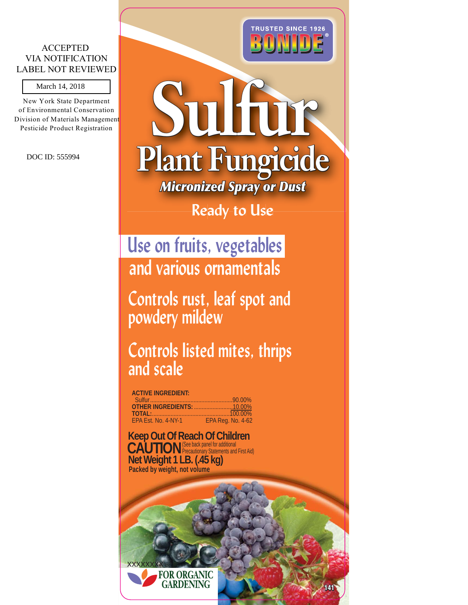#### ACCEPTED VIA NOTIFICATION LABEL NOT REVIEWED

New York State Department of Environmental Conservation Division of Materials Management Pesticide Product Registration March 14, 2018<br>Jew York State Dep<br>Environmental Cor<br>Environmental Cor<br>Sticide Product Rep<br>DOC ID: 555994



#### **Ready to Use**

**Use on fruits, vegetables and various ornamentals**

**Controls rust, leaf spot and powdery mildew**

**Controls listed mites, thrips and scale**

#### **ACTIVE INGREDIENT:**

| <b>TOTAL:</b> [100.00%] |                   |
|-------------------------|-------------------|
| EPA Est. No. 4-NY-1     | EPA Reg. No. 4-62 |

**Net Weight 1 LB. (.45 kg) Keep Out Of Reach Of Children** CAUTION<sup>(See back panel for additional **CAUTION** Precautionary Statements and First Aid)</sup> **Packed by weight, not volume**

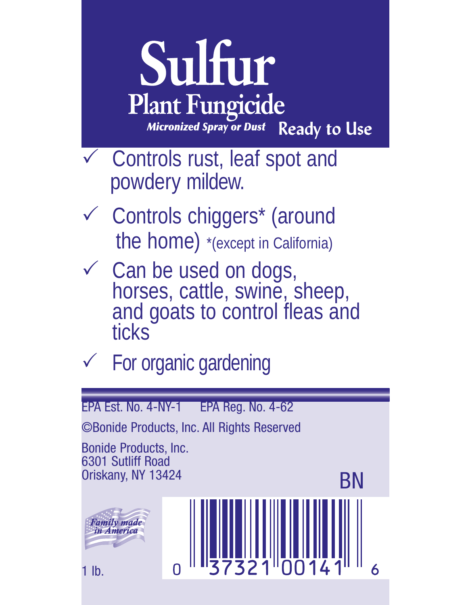

- $\checkmark$  Controls rust, leaf spot and powdery mildew.
- ✓ Controls chiggers<sup>\*</sup> (around the home) \*(except in California)
- ✓ Can be used on dogs,<br>horses, cattle, swine, sheep, and goats to control fleas and ticks
- $\checkmark$  For organic gardening

EPA Est. No. 4-NY-1 EPA Reg. No. 4-62 ©Bonide Products, Inc. All Rights Reserved Bonide Products, Inc. 6301 Sutliff Road Oriskany, NY 13424 BN <del>.</del><br>Family made<br>in America 1 lb.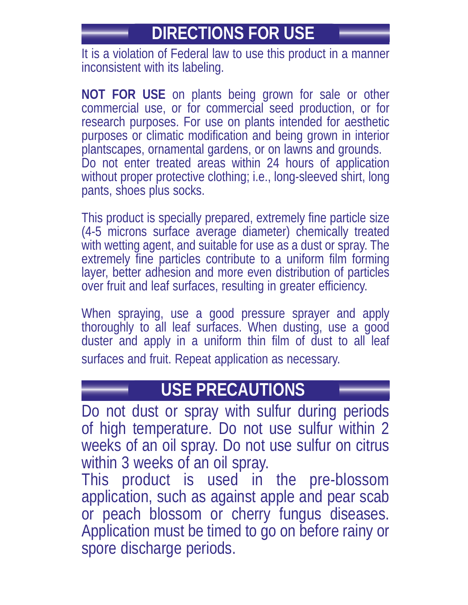# **DIRECTIONS FOR USE**

It is a violation of Federal law to use this product in a manner inconsistent with its labeling.

**NOT FOR USE** on plants being grown for sale or other commercial use, or for commercial seed production, or for research purposes. For use on plants intended for aesthetic purposes or climatic modification and being grown in interior plantscapes, ornamental gardens, or on lawns and grounds. Do not enter treated areas within 24 hours of application without proper protective clothing; i.e., long-sleeved shirt, long pants, shoes plus socks.

This product is specially prepared, extremely fine particle size (4-5 microns surface average diameter) chemically treated with wetting agent, and suitable for use as a dust or spray. The extremely fine particles contribute to a uniform film forming layer, better adhesion and more even distribution of particles over fruit and leaf surfaces, resulting in greater efficiency.

When spraying, use a good pressure sprayer and apply thoroughly to all leaf surfaces. When dusting, use a good duster and apply in a uniform thin film of dust to all leaf surfaces and fruit. Repeat application as necessary.

#### **USE PRECAUTIONS**

Do not dust or spray with sulfur during periods of high temperature. Do not use sulfur within 2 weeks of an oil spray. Do not use sulfur on citrus within 3 weeks of an oil spray.

This product is used in the pre-blossom application, such as against apple and pear scab or peach blossom or cherry fungus diseases. Application must be timed to go on before rainy or spore discharge periods.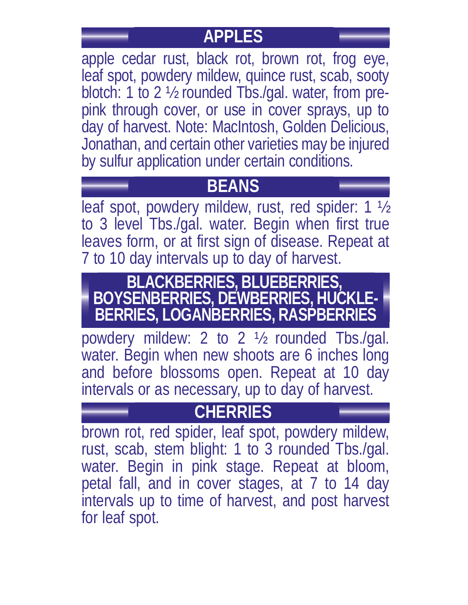# **APPLES**

apple cedar rust, black rot, brown rot, frog eye, leaf spot, powdery mildew, quince rust, scab, sooty blotch: 1 to 2 ½ rounded Tbs./gal. water, from prepink through cover, or use in cover sprays, up to day of harvest. Note: MacIntosh, Golden Delicious, Jonathan, and certain other varieties may be injured by sulfur application under certain conditions.

# **BEANS**

leaf spot, powdery mildew, rust, red spider: 1 ½ to 3 level Tbs./gal. water. Begin when first true leaves form, or at first sign of disease. Repeat at 7 to 10 day intervals up to day of harvest.

#### **BLACKBERRIES, BLUEBERRIES, BOYSENBERRIES, DEWBERRIES, HUCKLE-BERRIES, LOGANBERRIES, RASPBERRIES**

powdery mildew: 2 to 2 ½ rounded Tbs./gal. water. Begin when new shoots are 6 inches long and before blossoms open. Repeat at 10 day intervals or as necessary, up to day of harvest.

# **CHERRIES**

brown rot, red spider, leaf spot, powdery mildew, rust, scab, stem blight: 1 to 3 rounded Tbs./gal. water. Begin in pink stage. Repeat at bloom, petal fall, and in cover stages, at 7 to 14 day intervals up to time of harvest, and post harvest for leaf spot.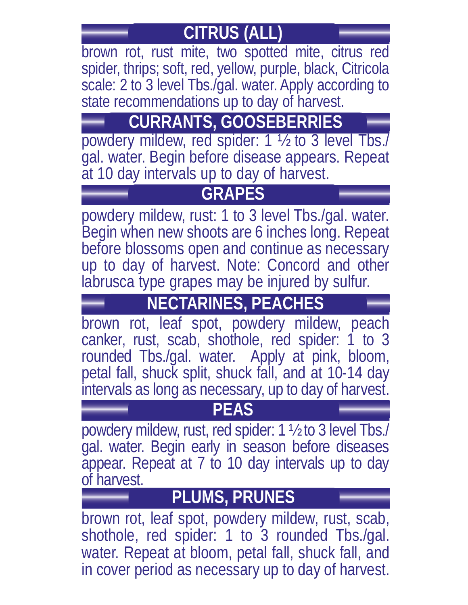# **CITRUS (ALL)**

brown rot, rust mite, two spotted mite, citrus red spider, thrips; soft, red, yellow, purple, black, Citricola scale: 2 to 3 level Tbs./gal. water. Apply according to state recommendations up to day of harvest.

# **CURRANTS, GOOSEBERRIES**

powdery mildew, red spider: 1 ½ to 3 level Tbs./ gal. water. Begin before disease appears. Repeat at 10 day intervals up to day of harvest.

## **GRAPES**

powdery mildew, rust: 1 to 3 level Tbs./gal. water. Begin when new shoots are 6 inches long. Repeat before blossoms open and continue as necessary up to day of harvest. Note: Concord and other labrusca type grapes may be injured by sulfur.

# **NECTARINES, PEACHES**

brown rot, leaf spot, powdery mildew, peach canker, rust, scab, shothole, red spider: 1 to 3 rounded Tbs./gal. water. Apply at pink, bloom, petal fall, shuck split, shuck fall, and at 10-14 day intervals as long as necessary, up to day of harvest.

#### **PEAS**

powdery mildew, rust, red spider: 1 ½ to 3 level Tbs./ gal. water. Begin early in season before diseases appear. Repeat at 7 to 10 day intervals up to day of harvest.

# **PLUMS, PRUNES**

brown rot, leaf spot, powdery mildew, rust, scab, shothole, red spider: 1 to 3 rounded Tbs./gal. water. Repeat at bloom, petal fall, shuck fall, and in cover period as necessary up to day of harvest.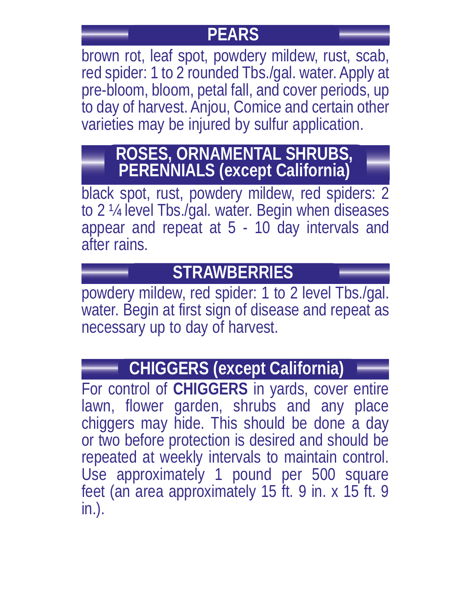#### **PEARS**

brown rot, leaf spot, powdery mildew, rust, scab, red spider: 1 to 2 rounded Tbs./gal. water. Apply at pre-bloom, bloom, petal fall, and cover periods, up to day of harvest. Anjou, Comice and certain other varieties may be injured by sulfur application.

## **ROSES, ORNAMENTAL SHRUBS, PERENNIALS (except California)**

black spot, rust, powdery mildew, red spiders: 2 to 2 ¼ level Tbs./gal. water. Begin when diseases appear and repeat at 5 - 10 day intervals and after rains.

## **STRAWBERRIES**

powdery mildew, red spider: 1 to 2 level Tbs./gal. water. Begin at first sign of disease and repeat as necessary up to day of harvest.

# **CHIGGERS (except California)**

For control of **CHIGGERS** in yards, cover entire lawn, flower garden, shrubs and any place chiggers may hide. This should be done a day or two before protection is desired and should be repeated at weekly intervals to maintain control. Use approximately 1 pound per 500 square feet (an area approximately 15 ft. 9 in. x 15 ft. 9 in.).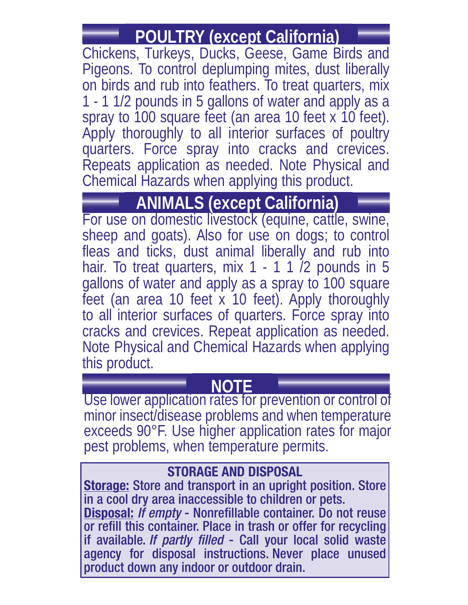# **POULTRY (except California)**

Chickens, Turkeys, Ducks, Geese, Game Birds and Pigeons. To control deplumping mites, dust liberally on birds and rub into feathers. To treat quarters, mix 1 - 1 1/2 pounds in 5 gallons of water and apply as a spray to 100 square feet (an area 10 feet x 10 feet). Apply thoroughly to all interior surfaces of poultry quarters. Force spray into cracks and crevices. Repeats application as needed. Note Physical and Chemical Hazards when applying this product.

**ANIMALS (except California)**<br>For use on domestic livestock (equine, cattle, swine, sheep and goats). Also for use on dogs; to control fleas and ticks, dust animal liberally and rub into hair. To treat quarters, mix 1 - 1 1 <sup>7</sup> pounds in 5 gallons of water and apply as a spray to 100 square feet (an area 10 feet x 10 feet). Apply thoroughly to all interior surfaces of quarters. Force spray into cracks and crevices. Repeat application as needed. Note Physical and Chemical Hazards when applying this product.

#### **NOTE**

Use lower application rates for prevention or control of minor insect/disease problems and when temperature exceeds 90°F. Use higher application rates for major pest problems, when temperature permits.

#### **STORAGE AND DISPOSAL**

**Storage:** Store and transport in an upright position. Store in a cool dry area inaccessible to children or pets. **Disposal:** If empty - Nonrefillable container. Do not reuse or refill this container. Place in trash or offer for recycling if available. If partly filled - Call your local solid waste agency for disposal instructions. Never place unused product down any indoor or outdoor drain.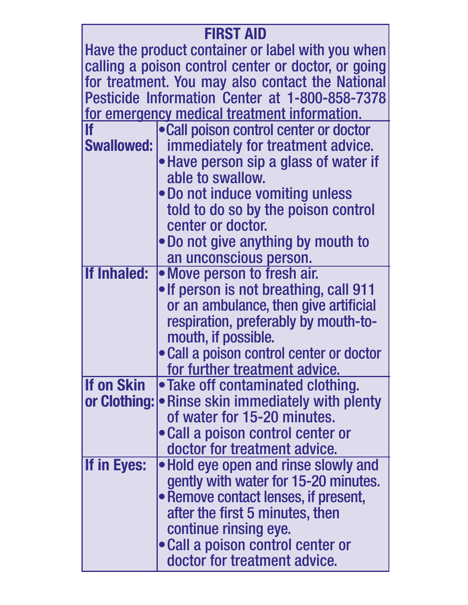| <b>FIRST AID</b>                                    |                                                       |
|-----------------------------------------------------|-------------------------------------------------------|
| Have the product container or label with you when   |                                                       |
| calling a poison control center or doctor, or going |                                                       |
| for treatment. You may also contact the National    |                                                       |
| Pesticide Information Center at 1-800-858-7378      |                                                       |
| for emergency medical treatment information.        |                                                       |
| lf                                                  | .Call poison control center or doctor                 |
|                                                     | <b>Swallowed:</b>   immediately for treatment advice. |
|                                                     | • Have person sip a glass of water if                 |
|                                                     | able to swallow.                                      |
|                                                     | . Do not induce vomiting unless                       |
|                                                     | told to do so by the poison control                   |
|                                                     | center or doctor.                                     |
|                                                     | • Do not give anything by mouth to                    |
|                                                     | an unconscious person.                                |
| <b>If Inhaled:</b>                                  | • Move person to fresh air.                           |
|                                                     | . If person is not breathing, call 911                |
|                                                     | or an ambulance, then give artificial                 |
|                                                     | respiration, preferably by mouth-to-                  |
|                                                     | mouth, if possible.                                   |
|                                                     | • Call a poison control center or doctor              |
|                                                     | for further treatment advice.                         |
| <b>If on Skin</b>                                   | • Take off contaminated clothing.                     |
| or Clothing:                                        | • Rinse skin immediately with plenty                  |
|                                                     | of water for 15-20 minutes.                           |
|                                                     | • Call a poison control center or                     |
|                                                     | doctor for treatment advice.                          |
| <b>If in Eyes:</b>                                  | • Hold eye open and rinse slowly and                  |
|                                                     | gently with water for 15-20 minutes.                  |
|                                                     | • Remove contact lenses, if present,                  |
|                                                     | after the first 5 minutes, then                       |
|                                                     | continue rinsing eye.                                 |
|                                                     | • Call a poison control center or                     |
|                                                     | doctor for treatment advice.                          |